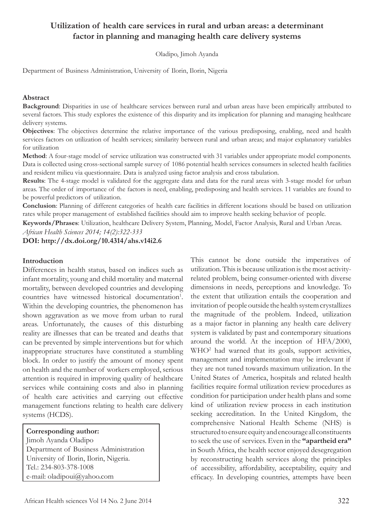# **Utilization of health care services in rural and urban areas: a determinant factor in planning and managing health care delivery systems**

Oladipo, Jimoh Ayanda

Department of Business Administration, University of Ilorin, Ilorin, Nigeria

#### **Abstract**

**Background**: Disparities in use of healthcare services between rural and urban areas have been empirically attributed to several factors. This study explores the existence of this disparity and its implication for planning and managing healthcare delivery systems.

**Objectives**: The objectives determine the relative importance of the various predisposing, enabling, need and health services factors on utilization of health services; similarity between rural and urban areas; and major explanatory variables for utilization

**Method**: A four-stage model of service utilization was constructed with 31 variables under appropriate model components. Data is collected using cross-sectional sample survey of 1086 potential health services consumers in selected health facilities and resident milieu via questionnaire. Data is analyzed using factor analysis and cross tabulation.

**Results**: The 4-stage model is validated for the aggregate data and data for the rural areas with 3-stage model for urban areas. The order of importance of the factors is need, enabling, predisposing and health services. 11 variables are found to be powerful predictors of utilization.

**Conclusion**: Planning of different categories of health care facilities in different locations should be based on utilization rates while proper management of established facilities should aim to improve health seeking behavior of people.

**Keywords/Phrases**: Utilization, healthcare Delivery System, Planning, Model, Factor Analysis, Rural and Urban Areas.

*African Health Sciences 2014; 14(2):322-333*

**DOI: http://dx.doi.org/10.4314/ahs.v14i2.6**

#### **Introduction**

Differences in health status, based on indices such as infant mortality, young and child mortality and maternal mortality, between developed countries and developing countries have witnessed historical documentation<sup>1</sup>. Within the developing countries, the phenomenon has shown aggravation as we move from urban to rural areas. Unfortunately, the causes of this disturbing reality are illnesses that can be treated and deaths that can be prevented by simple interventions but for which inappropriate structures have constituted a stumbling block. In order to justify the amount of money spent on health and the number of workers employed, serious attention is required in improving quality of healthcare services while containing costs and also in planning of health care activities and carrying out effective management functions relating to health care delivery systems (HCDS).

#### **Corresponding author:**

 Jimoh Ayanda Oladipo Department of Business Administration University of Ilorin, Ilorin, Nigeria. Tel.: 234-803-378-1008 e-mail: oladipoui@yahoo.com

This cannot be done outside the imperatives of utilization. This is because utilization is the most activityrelated problem, being consumer-oriented with diverse dimensions in needs, perceptions and knowledge. To the extent that utilization entails the cooperation and invitation of people outside the health system crystallizes the magnitude of the problem. Indeed, utilization as a major factor in planning any health care delivery system is validated by past and contemporary situations around the world. At the inception of HFA/2000, WHO2 had warned that its goals, support activities, management and implementation may be irrelevant if they are not tuned towards maximum utilization. In the United States of America, hospitals and related health facilities require formal utilization review procedures as condition for participation under health plans and some kind of utilization review process in each institution seeking accreditation. In the United Kingdom, the comprehensive National Health Scheme (NHS) is structured to ensure equity and encourage all constituents to seek the use of services. Even in the **"apartheid era"** in South Africa, the health sector enjoyed desegregation by reconstructing health services along the principles of accessibility, affordability, acceptability, equity and efficacy. In developing countries, attempts have been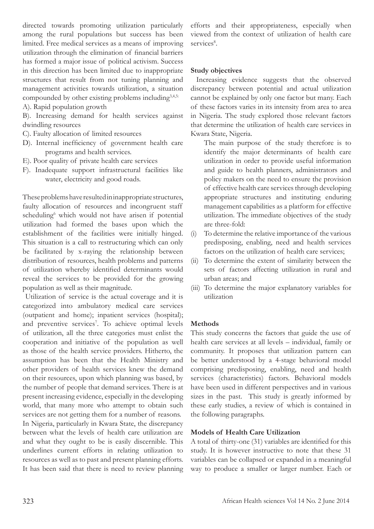directed towards promoting utilization particularly among the rural populations but success has been limited. Free medical services as a means of improving utilization through the elimination of financial barriers has formed a major issue of political activism. Success in this direction has been limited due to inappropriate structures that result from not tuning planning and management activities towards utilization, a situation compounded by other existing problems including<sup>3,4,5:</sup>

A). Rapid population growth

B). Increasing demand for health services against dwindling resources

- C). Faulty allocation of limited resources
- D). Internal inefficiency of government health care programs and health services.
- E). Poor quality of private health care services
- F). Inadequate support infrastructural facilities like water, electricity and good roads.

These problems have resulted in inappropriate structures, faulty allocation of resources and incongruent staff scheduling<sup>6</sup> which would not have arisen if potential utilization had formed the bases upon which the establishment of the facilities were initially hinged. This situation is a call to restructuring which can only be facilitated by x-raying the relationship between distribution of resources, health problems and patterns of utilization whereby identified determinants would reveal the services to be provided for the growing population as well as their magnitude.

 Utilization of service is the actual coverage and it is categorized into ambulatory medical care services (outpatient and home); inpatient services (hospital); and preventive services<sup>7</sup>. To achieve optimal levels of utilization, all the three categories must enlist the cooperation and initiative of the population as well as those of the health service providers. Hitherto, the assumption has been that the Health Ministry and other providers of health services knew the demand on their resources, upon which planning was based, by the number of people that demand services. There is at present increasing evidence, especially in the developing world, that many more who attempt to obtain such services are not getting them for a number of reasons. In Nigeria, particularly in Kwara State, the discrepancy between what the levels of health care utilization are and what they ought to be is easily discernible. This underlines current efforts in relating utilization to resources as well as to past and present planning efforts. It has been said that there is need to review planning

efforts and their appropriateness, especially when viewed from the context of utilization of health care services<sup>8</sup>.

# **Study objectives**

 Increasing evidence suggests that the observed discrepancy between potential and actual utilization cannot be explained by only one factor but many. Each of these factors varies in its intensity from area to area in Nigeria. The study explored those relevant factors that determine the utilization of health care services in Kwara State, Nigeria.

The main purpose of the study therefore is to identify the major determinants of health care utilization in order to provide useful information and guide to health planners, administrators and policy makers on the need to ensure the provision of effective health care services through developing appropriate structures and instituting enduring management capabilities as a platform for effective utilization. The immediate objectives of the study are three-fold:

- (i) To determine the relative importance of the various predisposing, enabling, need and health services factors on the utilization of health care services;
- (ii) To determine the extent of similarity between the sets of factors affecting utilization in rural and urban areas; and
- (iii) To determine the major explanatory variables for utilization

### **Methods**

This study concerns the factors that guide the use of health care services at all levels – individual, family or community. It proposes that utilization pattern can be better understood by a 4-stage behavioral model comprising predisposing, enabling, need and health services (characteristics) factors. Behavioral models have been used in different perspectives and in various sizes in the past. This study is greatly informed by these early studies, a review of which is contained in the following paragraphs.

## **Models of Health Care Utilization**

A total of thirty-one (31) variables are identified for this study. It is however instructive to note that these 31 variables can be collapsed or expanded in a meaningful way to produce a smaller or larger number. Each or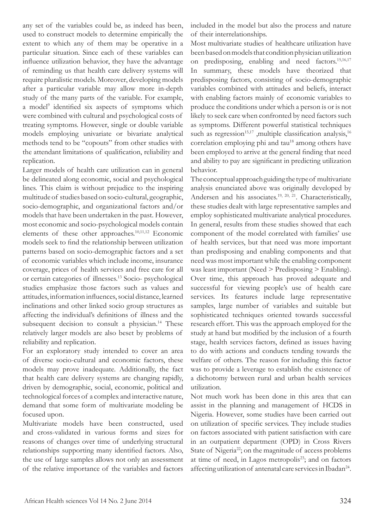any set of the variables could be, as indeed has been, used to construct models to determine empirically the extent to which any of them may be operative in a particular situation. Since each of these variables can influence utilization behavior, they have the advantage of reminding us that health care delivery systems will require pluralistic models. Moreover, developing models after a particular variable may allow more in-depth study of the many parts of the variable. For example, a model<sup>9</sup> identified six aspects of symptoms which were combined with cultural and psychological costs of treating symptoms. However, single or double variable models employing univariate or bivariate analytical methods tend to be "copouts" from other studies with the attendant limitations of qualification, reliability and replication.

Larger models of health care utilization can in general be delineated along economic, social and psychological lines. This claim is without prejudice to the inspiring multitude of studies based on socio-cultural, geographic, socio-demographic, and organizational factors and/or models that have been undertaken in the past. However, most economic and socio-psychological models contain elements of these other approaches.10,11,12 Economic models seek to find the relationship between utilization patterns based on socio-demographic factors and a set of economic variables which include income, insurance coverage, prices of health services and free care for all or certain categories of illnesses.13 Socio- psychological studies emphasize those factors such as values and attitudes, information influences, social distance, learned inclinations and other linked socio group structures as affecting the individual's definitions of illness and the subsequent decision to consult a physician.<sup>14</sup> These relatively larger models are also beset by problems of reliability and replication.

For an exploratory study intended to cover an area of diverse socio-cultural and economic factors, these models may prove inadequate. Additionally, the fact that health care delivery systems are changing rapidly, driven by demographic, social, economic, political and technological forces of a complex and interactive nature, demand that some form of multivariate modeling be focused upon.

Multivariate models have been constructed, used and cross-validated in various forms and sizes for reasons of changes over time of underlying structural relationships supporting many identified factors. Also, the use of large samples allows not only an assessment of the relative importance of the variables and factors

included in the model but also the process and nature of their interrelationships.

Most multivariate studies of healthcare utilization have been based on models that condition physician utilization on predisposing, enabling and need factors.15,16,17 In summary, these models have theorized that predisposing factors, consisting of socio-demographic variables combined with attitudes and beliefs, interact with enabling factors mainly of economic variables to produce the conditions under which a person is or is not likely to seek care when confronted by need factors such as symptoms. Different powerful statistical techniques such as regression<sup>15,17</sup>, multiple classification analysis,<sup>16</sup> correlation employing phi and tau<sup>18</sup> among others have been employed to arrive at the general finding that need and ability to pay are significant in predicting utilization behavior.

The conceptual approach guiding the type of multivariate analysis enunciated above was originally developed by Andersen and his associates.<sup>19, 20, 21</sup>. Characteristically, these studies dealt with large representative samples and employ sophisticated multivariate analytical procedures. In general, results from these studies showed that each component of the model correlated with families' use of health services, but that need was more important than predisposing and enabling components and that need was most important while the enabling component was least important (Need > Predisposing > Enabling). Over time, this approach has proved adequate and successful for viewing people's use of health care services. Its features include large representative samples, large number of variables and suitable but sophisticated techniques oriented towards successful research effort. This was the approach employed for the study at hand but modified by the inclusion of a fourth stage, health services factors, defined as issues having to do with actions and conducts tending towards the welfare of others. The reason for including this factor was to provide a leverage to establish the existence of a dichotomy between rural and urban health services utilization.

Not much work has been done in this area that can assist in the planning and management of HCDS in Nigeria. However, some studies have been carried out on utilization of specific services. They include studies on factors associated with patient satisfaction with care in an outpatient department (OPD) in Cross Rivers State of Nigeria<sup>22</sup>; on the magnitude of access problems at time of need, in Lagos metropolis<sup>23</sup>; and on factors affecting utilization of antenatal care services in Ibadan<sup>24</sup>.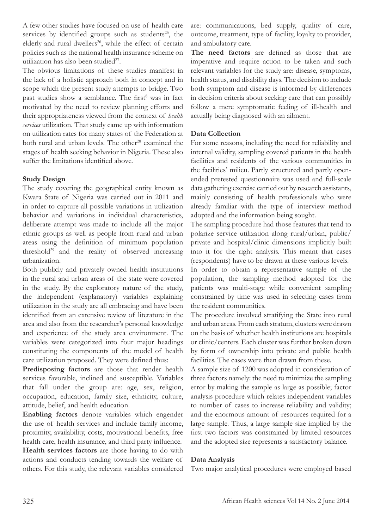A few other studies have focused on use of health care services by identified groups such as students<sup>25</sup>, the elderly and rural dwellers<sup>26</sup>, while the effect of certain policies such as the national health insurance scheme on utilization has also been studied $27$ .

The obvious limitations of these studies manifest in the lack of a holistic approach both in concept and in scope which the present study attempts to bridge. Two past studies show a semblance. The first<sup>8</sup> was in fact motivated by the need to review planning efforts and their appropriateness viewed from the context of *health services* utilization. That study came up with information on utilization rates for many states of the Federation at both rural and urban levels. The other<sup>28</sup> examined the stages of health seeking behavior in Nigeria. These also suffer the limitations identified above.

### **Study Design**

The study covering the geographical entity known as Kwara State of Nigeria was carried out in 2011 and in order to capture all possible variations in utilization behavior and variations in individual characteristics, deliberate attempt was made to include all the major ethnic groups as well as people from rural and urban areas using the definition of minimum population threshold<sup>29</sup> and the reality of observed increasing urbanization.

Both publicly and privately owned health institutions in the rural and urban areas of the state were covered in the study. By the exploratory nature of the study, the independent (explanatory) variables explaining utilization in the study are all embracing and have been identified from an extensive review of literature in the area and also from the researcher's personal knowledge and experience of the study area environment. The variables were categorized into four major headings constituting the components of the model of health care utilization proposed. They were defined thus:

**Predisposing factors** are those that render health services favorable, inclined and susceptible. Variables that fall under the group are: age, sex, religion, occupation, education, family size, ethnicity, culture, attitude, belief, and health education.

**Enabling factors** denote variables which engender the use of health services and include family income, proximity, availability, costs, motivational benefits, free health care, health insurance, and third party influence. **Health services factors** are those having to do with actions and conducts tending towards the welfare of others. For this study, the relevant variables considered are: communications, bed supply, quality of care, outcome, treatment, type of facility, loyalty to provider, and ambulatory care.

**The need factors** are defined as those that are imperative and require action to be taken and such relevant variables for the study are: disease, symptoms, health status, and disability days. The decision to include both symptom and disease is informed by differences in decision criteria about seeking care that can possibly follow a mere symptomatic feeling of ill-health and actually being diagnosed with an ailment.

## **Data Collection**

For some reasons, including the need for reliability and internal validity, sampling covered patients in the health facilities and residents of the various communities in the facilities' milieu. Partly structured and partly openended pretested questionnaire was used and full-scale data gathering exercise carried out by research assistants, mainly consisting of health professionals who were already familiar with the type of interview method adopted and the information being sought.

The sampling procedure had those features that tend to polarize service utilization along rural/urban, public/ private and hospital/clinic dimensions implicitly built into it for the right analysis. This meant that cases (respondents) have to be drawn at these various levels. In order to obtain a representative sample of the population, the sampling method adopted for the patients was multi-stage while convenient sampling constrained by time was used in selecting cases from the resident communities.

The procedure involved stratifying the State into rural and urban areas. From each stratum, clusters were drawn on the basis of whether health institutions are hospitals or clinic/centers. Each cluster was further broken down by form of ownership into private and public health facilities. The cases were then drawn from these.

A sample size of 1200 was adopted in consideration of three factors namely: the need to minimize the sampling error by making the sample as large as possible; factor analysis procedure which relates independent variables to number of cases to increase reliability and validity; and the enormous amount of resources required for a large sample. Thus, a large sample size implied by the first two factors was constrained by limited resources and the adopted size represents a satisfactory balance.

### **Data Analysis**

Two major analytical procedures were employed based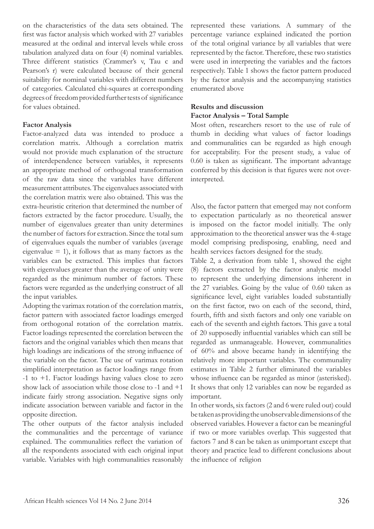on the characteristics of the data sets obtained. The first was factor analysis which worked with 27 variables measured at the ordinal and interval levels while cross tabulation analyzed data on four (4) nominal variables. Three different statistics (Crammer's v, Tau c and Pearson's r) were calculated because of their general suitability for nominal variables with different numbers of categories. Calculated chi-squares at corresponding degrees of freedom provided further tests of significance for values obtained.

#### **Factor Analysis**

Factor-analyzed data was intended to produce a correlation matrix. Although a correlation matrix would not provide much explanation of the structure of interdependence between variables, it represents an appropriate method of orthogonal transformation of the raw data since the variables have different measurement attributes. The eigenvalues associated with the correlation matrix were also obtained. This was the extra-heuristic criterion that determined the number of factors extracted by the factor procedure. Usually, the number of eigenvalues greater than unity determines the number of factors for extraction. Since the total sum of eigenvalues equals the number of variables (average eigenvalue  $= 1$ ), it follows that as many factors as the variables can be extracted. This implies that factors with eigenvalues greater than the average of unity were regarded as the minimum number of factors. These factors were regarded as the underlying construct of all the input variables.

Adopting the varimax rotation of the correlation matrix, factor pattern with associated factor loadings emerged from orthogonal rotation of the correlation matrix. Factor loadings represented the correlation between the factors and the original variables which then means that high loadings are indications of the strong influence of the variable on the factor. The use of varimax rotation simplified interpretation as factor loadings range from -1 to +1. Factor loadings having values close to zero show lack of association while those close to -1 and +1 indicate fairly strong association. Negative signs only indicate association between variable and factor in the opposite direction.

The other outputs of the factor analysis included the communalities and the percentage of variance explained. The communalities reflect the variation of all the respondents associated with each original input variable. Variables with high communalities reasonably represented these variations. A summary of the percentage variance explained indicated the portion of the total original variance by all variables that were represented by the factor. Therefore, these two statistics were used in interpreting the variables and the factors respectively. Table 1 shows the factor pattern produced by the factor analysis and the accompanying statistics enumerated above

### **Results and discussion Factor Analysis – Total Sample**

Most often, researchers resort to the use of rule of thumb in deciding what values of factor loadings and communalities can be regarded as high enough for acceptability. For the present study, a value of 0.60 is taken as significant. The important advantage conferred by this decision is that figures were not overinterpreted.

Also, the factor pattern that emerged may not conform to expectation particularly as no theoretical answer is imposed on the factor model initially. The only approximation to the theoretical answer was the 4-stage model comprising predisposing, enabling, need and health services factors designed for the study.

Table 2, a derivation from table 1, showed the eight (8) factors extracted by the factor analytic model to represent the underlying dimensions inherent in the 27 variables. Going by the value of 0.60 taken as significance level, eight variables loaded substantially on the first factor, two on each of the second, third, fourth, fifth and sixth factors and only one variable on each of the seventh and eighth factors. This gave a total of 20 supposedly influential variables which can still be regarded as unmanageable. However, communalities of 60% and above became handy in identifying the relatively more important variables. The communality estimates in Table 2 further eliminated the variables whose influence can be regarded as minor (asterisked). It shows that only 12 variables can now be regarded as important.

In other words, six factors (2 and 6 were ruled out) could be taken as providing the unobservable dimensions of the observed variables. However a factor can be meaningful if two or more variables overlap. This suggested that factors 7 and 8 can be taken as unimportant except that theory and practice lead to different conclusions about the influence of religion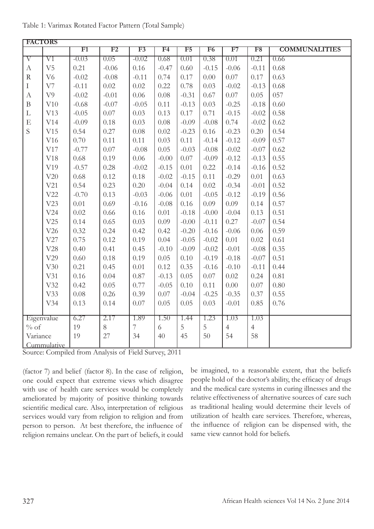|                    | <b>FACTORS</b>      |         |         |                |                |         |                |                |                |                      |
|--------------------|---------------------|---------|---------|----------------|----------------|---------|----------------|----------------|----------------|----------------------|
|                    |                     | F1      | F2      | F3             | F <sub>4</sub> | F5      | F <sub>6</sub> | F7             | F8             | <b>COMMUNALITIES</b> |
| $\overline{\rm V}$ | $\overline{\rm V1}$ | $-0.03$ | 0.05    | $-0.02$        | 0.68           | 0.01    | 0.38           | 0.01           | 0.21           | 0.66                 |
| $\mathbf{A}$       | V <sub>5</sub>      | 0.21    | $-0.06$ | 0.16           | $-0.47$        | 0.60    | $-0.15$        | $-0.06$        | $-0.11$        | 0.68                 |
| ${\bf R}$          | V <sub>6</sub>      | $-0.02$ | $-0.08$ | $-0.11$        | 0.74           | 0.17    | 0.00           | 0.07           | 0.17           | 0.63                 |
| $\rm I$            | V7                  | $-0.11$ | 0.02    | 0.02           | 0.22           | 0.78    | 0.03           | $-0.02$        | $-0.13$        | 0.68                 |
| $\boldsymbol{A}$   | V <sub>9</sub>      | $-0.02$ | $-0.01$ | 0.06           | 0.08           | $-0.31$ | 0.67           | 0.07           | 0.05           | 057                  |
| $\, {\bf B}$       | V10                 | $-0.68$ | $-0.07$ | $-0.05$        | 0.11           | $-0.13$ | 0.03           | $-0.25$        | $-0.18$        | 0.60                 |
| $\mathbf L$        | V13                 | $-0.05$ | 0.07    | 0.03           | 0.13           | 0.17    | 0.71           | $-0.15$        | $-0.02$        | 0.58                 |
| $\mathbf E$        | V14                 | $-0.09$ | 0.18    | 0.03           | 0.08           | $-0.09$ | $-0.08$        | 0.74           | $-0.02$        | 0.62                 |
| S                  | V15                 | 0.54    | 0.27    | 0.08           | 0.02           | $-0.23$ | 0.16           | $-0.23$        | 0.20           | 0.54                 |
|                    | V16                 | 0.70    | 0.11    | 0.11           | 0.03           | 0.11    | $-0.14$        | $-0.12$        | $-0.09$        | 0.57                 |
|                    | V17                 | $-0.77$ | 0.07    | $-0.08$        | 0.05           | $-0.03$ | $-0.08$        | $-0.02$        | $-0.07$        | 0.62                 |
|                    | V18                 | 0.68    | 0.19    | 0.06           | $-0.00$        | 0.07    | $-0.09$        | $-0.12$        | $-0.13$        | 0.55                 |
|                    | V19                 | $-0.57$ | 0.28    | $-0.02$        | $-0.15$        | 0.01    | 0.22           | $-0.14$        | $-0.16$        | 0.52                 |
|                    | ${\rm V20}$         | 0.68    | 0.12    | 0.18           | $-0.02$        | $-0.15$ | 0.11           | $-0.29$        | 0.01           | 0.63                 |
|                    | V21                 | 0.54    | 0.23    | 0.20           | $-0.04$        | 0.14    | 0.02           | $-0.34$        | $-0.01$        | 0.52                 |
|                    | V22                 | $-0.70$ | 0.13    | $-0.03$        | $-0.06$        | 0.01    | $-0.05$        | $-0.12$        | $-0.19$        | 0.56                 |
|                    | V23                 | 0.01    | 0.69    | $-0.16$        | $-0.08$        | 0.16    | 0.09           | 0.09           | 0.14           | 0.57                 |
|                    | V24                 | 0.02    | 0.66    | 0.16           | 0.01           | $-0.18$ | $-0.00$        | $-0.04$        | 0.13           | 0.51                 |
|                    | V25                 | 0.14    | 0.65    | 0.03           | 0.09           | $-0.00$ | $-0.11$        | 0.27           | $-0.07$        | 0.54                 |
|                    | V26                 | 0.32    | 0.24    | 0.42           | 0.42           | $-0.20$ | $-0.16$        | $-0.06$        | 0.06           | 0.59                 |
|                    | V27                 | 0.75    | 0.12    | 0.19           | 0.04           | $-0.05$ | $-0.02$        | 0.01           | 0.02           | 0.61                 |
|                    | V28                 | 0.40    | 0.41    | 0.45           | $-0.10$        | $-0.09$ | $-0.02$        | $-0.01$        | $-0.08$        | 0.35                 |
|                    | V29                 | 0.60    | 0.18    | 0.19           | 0.05           | 0.10    | $-0.19$        | $-0.18$        | $-0.07$        | 0.51                 |
|                    | V30                 | 0.21    | 0.45    | 0.01           | 0.12           | 0.35    | $-0.16$        | $-0.10$        | $-0.11$        | 0.44                 |
|                    | V31                 | 0.16    | 0.04    | 0.87           | $-0.13$        | 0.05    | 0.07           | 0.02           | 0.24           | 0.81                 |
|                    | V32                 | 0.42    | 0.05    | 0.77           | $-0.05$        | 0.10    | 0.11           | 0.00           | 0.07           | 0.80                 |
|                    | V33                 | 0.08    | 0.26    | 0.39           | 0.07           | $-0.04$ | $-0.25$        | $-0.35$        | 0.37           | 0.55                 |
|                    | V34                 | 0.13    | 0.14    | 0.07           | 0.05           | 0.05    | 0.03           | $-0.01$        | 0.85           | 0.76                 |
|                    |                     |         |         |                |                |         |                |                |                |                      |
|                    | Eigenvalue          | 6.27    | 2.17    | 1.89           | 1.50           | 1.44    | 1.23           | 1.03           | 1.03           |                      |
| $\%$ of            |                     | 19      | $8\,$   | $\overline{7}$ | 6              | 5       | 5              | $\overline{4}$ | $\overline{4}$ |                      |
| Variance           |                     | 19      | 27      | 34             | 40             | 45      | $50\,$         | 54             | 58             |                      |
|                    | Cummulative         |         |         |                |                |         |                |                |                |                      |

Table 1: Varimax Rotated Factor Pattern (Total Sample)

Source: Compiled from Analysis of Field Survey, 2011

(factor 7) and belief (factor 8). In the case of religion, one could expect that extreme views which disagree with use of health care services would be completely ameliorated by majority of positive thinking towards scientific medical care. Also, interpretation of religious services would vary from religion to religion and from person to person. At best therefore, the influence of religion remains unclear. On the part of beliefs, it could

be imagined, to a reasonable extent, that the beliefs people hold of the doctor's ability, the efficacy of drugs and the medical care systems in curing illnesses and the relative effectiveness of alternative sources of care such as traditional healing would determine their levels of utilization of health care services. Therefore, whereas, the influence of religion can be dispensed with, the same view cannot hold for beliefs.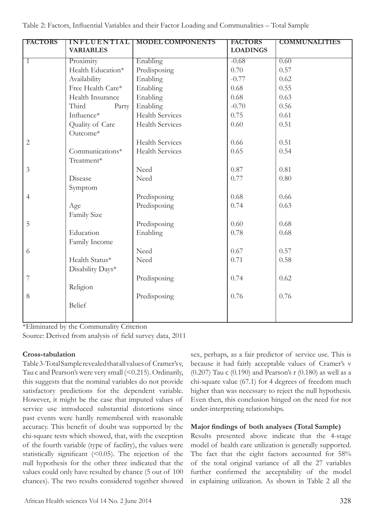| <b>FACTORS</b> | <b>INFLUENTIAL</b> | <b>MODEL COMPONENTS</b> | <b>FACTORS</b>  | <b>COMMUNALITIES</b> |
|----------------|--------------------|-------------------------|-----------------|----------------------|
|                | <b>VARIABLES</b>   |                         | <b>LOADINGS</b> |                      |
| 1              | Proximity          | Enabling                | $-0.68$         | 0.60                 |
|                | Health Education*  | Predisposing            | 0.70            | 0.57                 |
|                | Availability       | Enabling                | $-0.77$         | 0.62                 |
|                | Free Health Care*  | Enabling                | 0.68            | 0.55                 |
|                | Health Insurance   | Enabling                | 0.68            | 0.63                 |
|                | Third<br>Party     | Enabling                | $-0.70$         | 0.56                 |
|                | Influence*         | <b>Health Services</b>  | 0.75            | 0.61                 |
|                | Quality of Care    | <b>Health Services</b>  | 0.60            | 0.51                 |
|                | Outcome*           |                         |                 |                      |
| $\mathbf{2}$   |                    | <b>Health Services</b>  | 0.66            | 0.51                 |
|                | Communications*    | <b>Health Services</b>  | 0.65            | 0.54                 |
|                | Treatment*         |                         |                 |                      |
| $\mathfrak{Z}$ |                    | Need                    | 0.87            | 0.81                 |
|                | Disease            | Need                    | 0.77            | 0.80                 |
|                | Symptom            |                         |                 |                      |
| $\overline{4}$ |                    | Predisposing            | 0.68            | 0.66                 |
|                | Age                | Predisposing            | 0.74            | 0.63                 |
|                | Family Size        |                         |                 |                      |
| 5              |                    | Predisposing            | 0.60            | 0.68                 |
|                | Education          | Enabling                | 0.78            | 0.68                 |
|                | Family Income      |                         |                 |                      |
| 6              |                    | Need                    | 0.67            | 0.57                 |
|                | Health Status*     | Need                    | 0.71            | 0.58                 |
|                | Disability Days*   |                         |                 |                      |
| 7              |                    | Predisposing            | 0.74            | 0.62                 |
|                | Religion           |                         |                 |                      |
| 8              |                    | Predisposing            | 0.76            | 0.76                 |
|                | <b>Belief</b>      |                         |                 |                      |
|                |                    |                         |                 |                      |

\*Eliminated by the Communality Criterion

Source: Derived from analysis of field survey data, 2011

## **Cross-tabulation**

Table 3-Total Sample revealed that all values of Cramer's v, Tau c and Pearson's were very small (<0.215). Ordinarily, this suggests that the nominal variables do not provide satisfactory predictions for the dependent variable. However, it might be the case that imputed values of service use introduced substantial distortions since past events were hardly remembered with reasonable accuracy. This benefit of doubt was supported by the chi-square tests which showed, that, with the exception of the fourth variable (type of facility), the values were statistically significant (<0.05). The rejection of the null hypothesis for the other three indicated that the values could only have resulted by chance (5 out of 100 chances). The two results considered together showed

sex, perhaps, as a fair predictor of service use. This is because it had fairly acceptable values of Cramer's v (0.207) Tau c (0.190) and Pearson's r (0.180) as well as a chi-square value (67.1) for 4 degrees of freedom much higher than was necessary to reject the null hypothesis. Even then, this conclusion hinged on the need for not under-interpreting relationships.

## **Major findings of both analyses (Total Sample)**

Results presented above indicate that the 4-stage model of health care utilization is generally supported. The fact that the eight factors accounted for 58% of the total original variance of all the 27 variables further confirmed the acceptability of the model in explaining utilization. As shown in Table 2 all the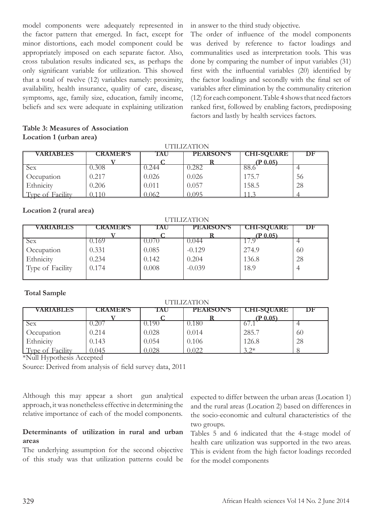model components were adequately represented in the factor pattern that emerged. In fact, except for minor distortions, each model component could be appropriately imposed on each separate factor. Also, cross tabulation results indicated sex, as perhaps the only significant variable for utilization. This showed that a total of twelve (12) variables namely: proximity, availability, health insurance, quality of care, disease, symptoms, age, family size, education, family income, beliefs and sex were adequate in explaining utilization in answer to the third study objective.

The order of influence of the model components was derived by reference to factor loadings and communalities used as interpretation tools. This was done by comparing the number of input variables (31) first with the influential variables (20) identified by the factor loadings and secondly with the final set of variables after elimination by the communality criterion (12) for each component. Table 4 shows that need factors ranked first, followed by enabling factors, predisposing factors and lastly by health services factors.

### **Table 3: Measures of Association Location 1 (urban area)**

| UTILIZATION      |                 |       |                  |                   |    |  |
|------------------|-----------------|-------|------------------|-------------------|----|--|
| <b>VARIABLES</b> | <b>CRAMER'S</b> | TAU   | <b>PEARSON'S</b> | <b>CHI-SQUARE</b> | DF |  |
|                  |                 |       |                  | $(P_0.05)$        |    |  |
| Sex              | .308            | ).244 | .282             | 88.t              |    |  |
| Occupation       | 0.217           | 0.026 | 0.026            | 175.7             | 56 |  |
| <b>Ethnicity</b> | 0.206           | 0.011 | 0.057            | 158.5             | 28 |  |
| Type of Facility |                 | 0.062 | 0 0 9 5          |                   |    |  |

UTILIZATION DELL'INTERNATIONE

## **Location 2 (rural area)**

| UTILIZATION      |                 |       |                  |                   |                |  |  |
|------------------|-----------------|-------|------------------|-------------------|----------------|--|--|
| <b>VARIABLES</b> | <b>CRAMER'S</b> | TAU   | <b>PEARSON'S</b> | <b>CHI-SQUARE</b> | DF             |  |  |
|                  |                 |       |                  | $(P_0.05)$        |                |  |  |
| Sex              | 0.169           | 0.070 | 0.044            |                   |                |  |  |
| Occupation       | 0.331           | 0.085 | $-0.129$         | 274.9             | 60             |  |  |
| Ethnicity        | 0.234           | 0.142 | 0.204            | 136.8             | 28             |  |  |
| Type of Facility | 0.174           | 0.008 | $-0.039$         | 18.9              | $\overline{4}$ |  |  |
|                  |                 |       |                  |                   |                |  |  |

### **Total Sample**

| <b>UTILIZATION</b> |                 |       |                  |                   |    |  |
|--------------------|-----------------|-------|------------------|-------------------|----|--|
| <b>VARIABLES</b>   | <b>CRAMER'S</b> | TAU   | <b>PEARSON'S</b> | <b>CHI-SQUARE</b> | DF |  |
|                    |                 |       |                  | (P 0.05)          |    |  |
| Sex                |                 | 0.190 | 0.180            |                   |    |  |
| Occupation         | 0.214           | 0.028 | 0.014            | 285.7             | 60 |  |
| Ethnicity          | 0.143           | 0.054 | 0.106            | 126.8             | 28 |  |
| Type of Facility   | 0.045           | 0.028 | 0.022            | $3.2*$            |    |  |

\*Null Hypothesis Accepted

Source: Derived from analysis of field survey data, 2011

Although this may appear a short gun analytical approach, it was nonetheless effective in determining the relative importance of each of the model components.

## **Determinants of utilization in rural and urban areas**

The underlying assumption for the second objective of this study was that utilization patterns could be

expected to differ between the urban areas (Location 1) and the rural areas (Location 2) based on differences in the socio-economic and cultural characteristics of the two groups.

Tables 5 and 6 indicated that the 4-stage model of health care utilization was supported in the two areas. This is evident from the high factor loadings recorded for the model components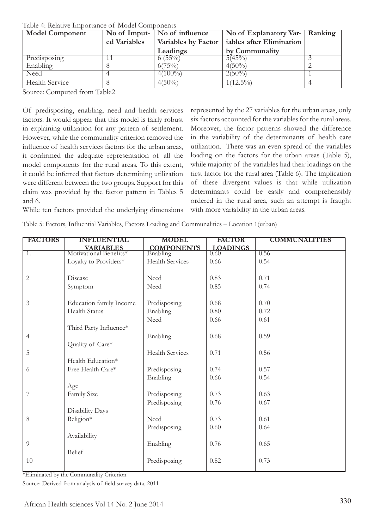| <b>Model Component</b> | No of Imput-   No of influence |                     | No of Explanatory Var- Ranking |  |
|------------------------|--------------------------------|---------------------|--------------------------------|--|
|                        | ed Variables                   | Variables by Factor | iables after Elimination       |  |
|                        |                                | Leadings            | by Communality                 |  |
| Predisposing           |                                | $6(55\%)$           | 5(45%)                         |  |
| Enabling               |                                | $6(75\%)$           | $4(50\%)$                      |  |
| Need                   |                                | $4(100\%)$          | $2(50\%)$                      |  |
| Health Service         |                                | $4(50\%)$           | $1(12.5\%)$                    |  |

Table 4: Relative Importance of Model Components

Source: Computed from Table2

Of predisposing, enabling, need and health services factors. It would appear that this model is fairly robust in explaining utilization for any pattern of settlement. However, while the communality criterion removed the influence of health services factors for the urban areas, it confirmed the adequate representation of all the model components for the rural areas. To this extent, it could be inferred that factors determining utilization were different between the two groups. Support for this claim was provided by the factor pattern in Tables 5 and 6.

represented by the 27 variables for the urban areas, only six factors accounted for the variables for the rural areas. Moreover, the factor patterns showed the difference in the variability of the determinants of health care utilization. There was an even spread of the variables loading on the factors for the urban areas (Table 5), while majority of the variables had their loadings on the first factor for the rural area (Table 6). The implication of these divergent values is that while utilization determinants could be easily and comprehensibly ordered in the rural area, such an attempt is fraught with more variability in the urban areas.

While ten factors provided the underlying dimensions

Table 5: Factors, Influential Variables, Factors Loading and Communalities – Location 1(urban)

| <b>FACTORS</b> | <b>INFLUENTIAL</b>      | <b>MODEL</b>           | <b>FACTOR</b>   | <b>COMMUNALITIES</b> |
|----------------|-------------------------|------------------------|-----------------|----------------------|
|                | <b>VARIABLES</b>        | <b>COMPONENTS</b>      | <b>LOADINGS</b> |                      |
| 1.             | Motivational Benefits*  | Enabling               | 0.60            | 0.56                 |
|                | Loyalty to Providers*   | Health Services        | 0.66            | 0.54                 |
|                |                         |                        |                 |                      |
| $\mathbf{2}$   | Disease                 | Need                   | 0.83            | 0.71                 |
|                | Symptom                 | Need                   | 0.85            | 0.74                 |
|                |                         |                        |                 |                      |
| 3              | Education family Income | Predisposing           | 0.68            | 0.70                 |
|                | <b>Health Status</b>    | Enabling               | 0.80            | 0.72                 |
|                |                         | Need                   | 0.66            | 0.61                 |
|                | Third Party Influence*  |                        |                 |                      |
| $\overline{4}$ |                         | Enabling               | 0.68            | 0.59                 |
|                | Quality of Care*        |                        |                 |                      |
| 5              |                         | <b>Health Services</b> | 0.71            | 0.56                 |
|                | Health Education*       |                        |                 |                      |
| 6              | Free Health Care*       | Predisposing           | 0.74            | 0.57                 |
|                |                         | Enabling               | 0.66            | 0.54                 |
|                | Age                     |                        |                 |                      |
| 7              | Family Size             | Predisposing           | 0.73            | 0.63                 |
|                |                         | Predisposing           | 0.76            | 0.67                 |
|                | Disability Days         |                        |                 |                      |
| 8              | Religion*               | Need                   | 0.73            | 0.61                 |
|                |                         | Predisposing           | 0.60            | 0.64                 |
|                | Availability            |                        |                 |                      |
| 9              |                         | Enabling               | 0.76            | 0.65                 |
|                | Belief                  |                        |                 |                      |
| 10             |                         | Predisposing           | 0.82            | 0.73                 |
|                |                         |                        |                 |                      |

\*Eliminated by the Communality Criterion

Source: Derived from analysis of field survey data, 2011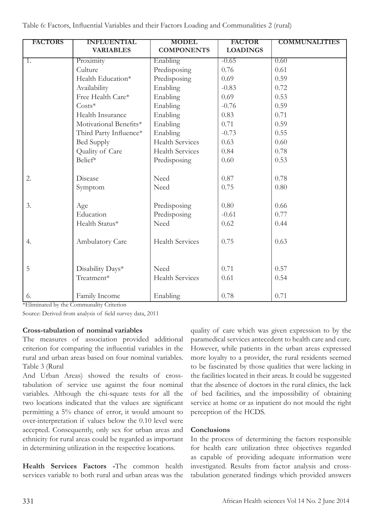| <b>FACTORS</b> | <b>INFLUENTIAL</b>     | <b>MODEL</b>           | <b>FACTOR</b>   | <b>COMMUNALITIES</b> |
|----------------|------------------------|------------------------|-----------------|----------------------|
|                | <b>VARIABLES</b>       | <b>COMPONENTS</b>      | <b>LOADINGS</b> |                      |
| 1.             | Proximity              | Enabling               | $-0.65$         | 0.60                 |
|                | Culture                | Predisposing           | 0.76            | 0.61                 |
|                | Health Education*      | Predisposing           | 0.69            | 0.59                 |
|                | Availability           | Enabling               | $-0.83$         | 0.72                 |
|                | Free Health Care*      | Enabling               | 0.69            | 0.53                 |
|                | $Costs*$               | Enabling               | $-0.76$         | 0.59                 |
|                | Health Insurance       | Enabling               | 0.83            | 0.71                 |
|                | Motivational Benefits* | Enabling               | 0.71            | 0.59                 |
|                | Third Party Influence* | Enabling               | $-0.73$         | 0.55                 |
|                | <b>Bed Supply</b>      | <b>Health Services</b> | 0.63            | 0.60                 |
|                | Quality of Care        | <b>Health Services</b> | 0.84            | 0.78                 |
|                | Belief*                | Predisposing           | 0.60            | 0.53                 |
|                |                        |                        |                 |                      |
| 2.             | Disease                | Need                   | 0.87            | 0.78                 |
|                | Symptom                | Need                   | 0.75            | 0.80                 |
|                |                        |                        |                 |                      |
| 3.             | Age                    | Predisposing           | 0.80            | 0.66                 |
|                | Education              | Predisposing           | $-0.61$         | 0.77                 |
|                | Health Status*         | Need                   | 0.62            | 0.44                 |
|                |                        |                        |                 |                      |
| 4.             | Ambulatory Care        | <b>Health Services</b> | 0.75            | 0.63                 |
|                |                        |                        |                 |                      |
|                |                        |                        |                 |                      |
| 5              | Disability Days*       | Need                   | 0.71            | 0.57                 |
|                | Treatment*             | <b>Health Services</b> | 0.61            | 0.54                 |
|                |                        |                        |                 |                      |
| 6.             | Family Income          | Enabling               | 0.78            | 0.71                 |

\*Eliminated by the Communality Criterion

Source: Derived from analysis of field survey data, 2011

### **Cross-tabulation of nominal variables**

The measures of association provided additional criterion for comparing the influential variables in the rural and urban areas based on four nominal variables. Table 3 (Rural

And Urban Areas) showed the results of crosstabulation of service use against the four nominal variables. Although the chi-square tests for all the two locations indicated that the values are significant permitting a 5% chance of error, it would amount to over-interpretation if values below the 0.10 level were accepted. Consequently, only sex for urban areas and ethnicity for rural areas could be regarded as important in determining utilization in the respective locations.

**Health Services Factors -**The common health services variable to both rural and urban areas was the quality of care which was given expression to by the paramedical services antecedent to health care and cure. However, while patients in the urban areas expressed more loyalty to a provider, the rural residents seemed to be fascinated by those qualities that were lacking in the facilities located in their areas. It could be suggested that the absence of doctors in the rural clinics, the lack of bed facilities, and the impossibility of obtaining service at home or as inpatient do not mould the right perception of the HCDS.

### **Conclusions**

In the process of determining the factors responsible for health care utilization three objectives regarded as capable of providing adequate information were investigated. Results from factor analysis and crosstabulation generated findings which provided answers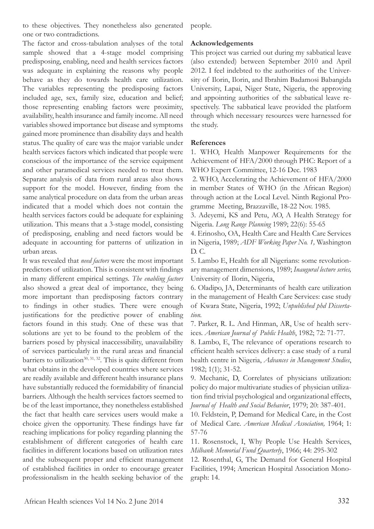to these objectives. They nonetheless also generated one or two contradictions.

The factor and cross-tabulation analyses of the total sample showed that a 4-stage model comprising predisposing, enabling, need and health services factors was adequate in explaining the reasons why people behave as they do towards health care utilization. The variables representing the predisposing factors included age, sex, family size, education and belief; those representing enabling factors were proximity, availability, health insurance and family income. All need variables showed importance but disease and symptoms gained more prominence than disability days and health status. The quality of care was the major variable under health services factors which indicated that people were conscious of the importance of the service equipment and other paramedical services needed to treat them. Separate analysis of data from rural areas also shows support for the model. However, finding from the same analytical procedure on data from the urban areas indicated that a model which does not contain the health services factors could be adequate for explaining utilization. This means that a 3-stage model, consisting of predisposing, enabling and need factors would be adequate in accounting for patterns of utilization in urban areas.

It was revealed that *need factors* were the most important predictors of utilization. This is consistent with findings in many different empirical settings. *The enabling factors* also showed a great deal of importance, they being more important than predisposing factors contrary to findings in other studies. There were enough justifications for the predictive power of enabling factors found in this study. One of these was that solutions are yet to be found to the problem of the barriers posed by physical inaccessibility, unavailability of services particularly in the rural areas and financial barriers to utilization<sup>30, 31, 32</sup>. This is quite different from what obtains in the developed countries where services are readily available and different health insurance plans have substantially reduced the formidability of financial barriers. Although the health services factors seemed to be of the least importance, they nonetheless established the fact that health care services users would make a choice given the opportunity. These findings have far reaching implications for policy regarding planning the establishment of different categories of health care facilities in different locations based on utilization rates and the subsequent proper and efficient management of established facilities in order to encourage greater professionalism in the health seeking behavior of the

people.

## **Acknowledgements**

This project was carried out during my sabbatical leave (also extended) between September 2010 and April 2012. I feel indebted to the authorities of the University of Ilorin, Ilorin, and Ibrahim Badamosi Babangida University, Lapai, Niger State, Nigeria, the approving and appointing authorities of the sabbatical leave respectively. The sabbatical leave provided the platform through which necessary resources were harnessed for the study.

## **References**

1. WHO, Health Manpower Requirements for the Achievement of HFA/2000 through PHC: Report of a WHO Expert Committee, 12-16 Dec. 1983

 2. WHO, Accelerating the Achievement of HFA/2000 in member States of WHO (in the African Region) through action at the Local Level. Ninth Regional Programme Meeting, Brazzaville, 18-22 Nov. 1985.

3. Adeyemi, KS and Petu, AO, A Health Strategy for Nigeria. *Long Range Planning* 1989; 22(6): 55-65

4. Erinosho, OA, Health Care and Health Care Services in Nigeria, 1989; *ADF Working Paper No. 1,* Washington D. C.

5. Lambo E, Health for all Nigerians: some revolutionary management dimensions, 1989; *Inaugural lecture series,* University of Ilorin, Nigeria,

6. Oladipo, JA, Determinants of health care utilization in the management of Health Care Services: case study of Kwara State, Nigeria, 1992; *Unpublished phd Dissertation.*

7. Parker, R. L. And Hinman, AR, Use of health services. *American Journal of Public Health*, 1982; 72: 71-77.

8. Lambo, E, The relevance of operations research to efficient health services delivery: a case study of a rural health centre in Nigeria, *Advances in Management Studies*, 1982; 1(1); 31-52.

9. Mechanic, D, Correlates of physicians utilization: policy do major multivariate studies of physician utilization find trivial psychological and organizational effects, *Journal of Health and Social Behavior*, 1979; 20: 387-401.

10. Feldstein, P, Demand for Medical Care, in the Cost of Medical Care. *American Medical Association,* 1964; 1: 57-76

11. Rosenstock, I, Why People Use Health Services, *Milbank Memorial Fund Quarterly*, 1966; 44: 295-302

12. Rosenthal, G, The Demand for General Hospital Facilities, 1994; American Hospital Association Monograph: 14.